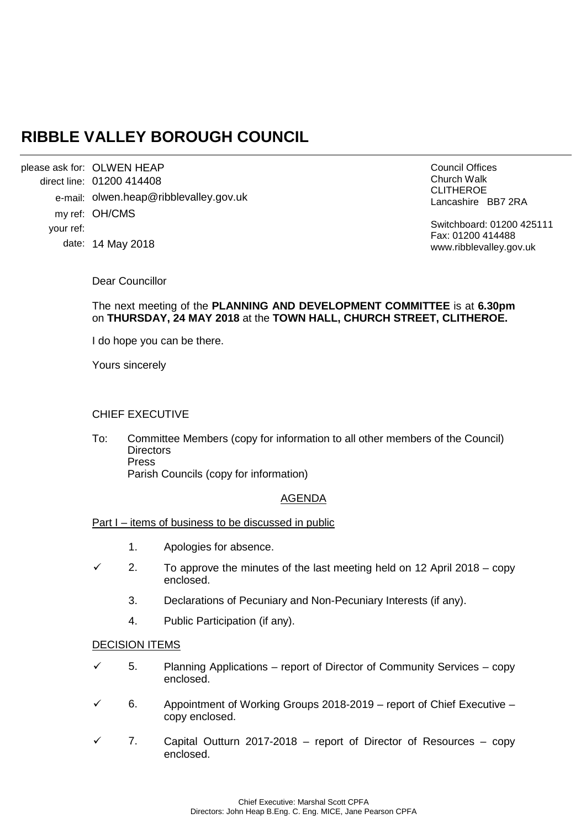# **RIBBLE VALLEY BOROUGH COUNCIL**

please ask for: OLWEN HEAP 01200 414408 direct line: e-mail: olwen.heap@ribblevalley.gov.uk my ref: OH/CMS 14 May 2018 date: your ref:

Council Offices Church Walk CLITHEROE Lancashire BB7 2RA

Switchboard: 01200 425111 Fax: 01200 414488 www.ribblevalley.gov.uk

Dear Councillor

# The next meeting of the **PLANNING AND DEVELOPMENT COMMITTEE** is at **6.30pm**  on **THURSDAY, 24 MAY 2018** at the **TOWN HALL, CHURCH STREET, CLITHEROE.**

I do hope you can be there.

Yours sincerely

### CHIEF EXECUTIVE

To: Committee Members (copy for information to all other members of the Council) **Directors** Press Parish Councils (copy for information)

# AGENDA

### Part I – items of business to be discussed in public

- 1. Apologies for absence.
- 2. To approve the minutes of the last meeting held on 12 April 2018 copy enclosed.
	- 3. Declarations of Pecuniary and Non-Pecuniary Interests (if any).
	- 4. Public Participation (if any).

### DECISION ITEMS

- 5. Planning Applications report of Director of Community Services copy enclosed.
- 6. Appointment of Working Groups 2018-2019 report of Chief Executive copy enclosed.
- 7. Capital Outturn 2017-2018 report of Director of Resources copy enclosed.